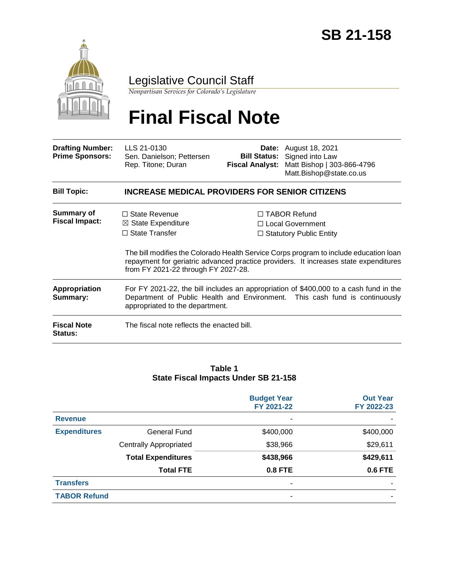

## Legislative Council Staff

*Nonpartisan Services for Colorado's Legislature*

# **Final Fiscal Note**

| <b>Drafting Number:</b><br><b>Prime Sponsors:</b> | LLS 21-0130<br>Sen. Danielson; Pettersen<br>Rep. Titone; Duran                                                                                                                                                                                        |  | <b>Date:</b> August 18, 2021<br><b>Bill Status:</b> Signed into Law<br>Fiscal Analyst: Matt Bishop   303-866-4796<br>Matt.Bishop@state.co.us                                                                                                                 |  |  |  |
|---------------------------------------------------|-------------------------------------------------------------------------------------------------------------------------------------------------------------------------------------------------------------------------------------------------------|--|--------------------------------------------------------------------------------------------------------------------------------------------------------------------------------------------------------------------------------------------------------------|--|--|--|
| <b>Bill Topic:</b>                                | <b>INCREASE MEDICAL PROVIDERS FOR SENIOR CITIZENS</b>                                                                                                                                                                                                 |  |                                                                                                                                                                                                                                                              |  |  |  |
| Summary of<br><b>Fiscal Impact:</b>               | $\Box$ State Revenue<br>$\boxtimes$ State Expenditure<br>$\Box$ State Transfer<br>from FY 2021-22 through FY 2027-28.                                                                                                                                 |  | $\Box$ TABOR Refund<br>□ Local Government<br>$\Box$ Statutory Public Entity<br>The bill modifies the Colorado Health Service Corps program to include education loan<br>repayment for geriatric advanced practice providers. It increases state expenditures |  |  |  |
| Appropriation<br>Summary:<br><b>Fiscal Note</b>   | For FY 2021-22, the bill includes an appropriation of \$400,000 to a cash fund in the<br>Department of Public Health and Environment. This cash fund is continuously<br>appropriated to the department.<br>The fiscal note reflects the enacted bill. |  |                                                                                                                                                                                                                                                              |  |  |  |

#### **Table 1 State Fiscal Impacts Under SB 21-158**

|                     |                               | <b>Budget Year</b><br>FY 2021-22 | <b>Out Year</b><br>FY 2022-23 |
|---------------------|-------------------------------|----------------------------------|-------------------------------|
| <b>Revenue</b>      |                               |                                  |                               |
| <b>Expenditures</b> | <b>General Fund</b>           | \$400,000                        | \$400,000                     |
|                     | <b>Centrally Appropriated</b> | \$38,966                         | \$29,611                      |
|                     | <b>Total Expenditures</b>     | \$438,966                        | \$429,611                     |
|                     | <b>Total FTE</b>              | <b>0.8 FTE</b>                   | <b>0.6 FTE</b>                |
| <b>Transfers</b>    |                               | -                                |                               |
| <b>TABOR Refund</b> |                               |                                  |                               |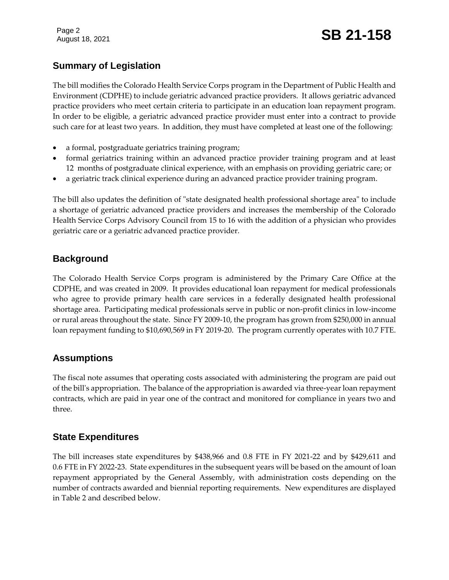Page 2

# August 18, 2021 **SB 21-158**

### **Summary of Legislation**

The bill modifies the Colorado Health Service Corps program in the Department of Public Health and Environment (CDPHE) to include geriatric advanced practice providers. It allows geriatric advanced practice providers who meet certain criteria to participate in an education loan repayment program. In order to be eligible, a geriatric advanced practice provider must enter into a contract to provide such care for at least two years. In addition, they must have completed at least one of the following:

- a formal, postgraduate geriatrics training program;
- formal geriatrics training within an advanced practice provider training program and at least 12 months of postgraduate clinical experience, with an emphasis on providing geriatric care; or
- a geriatric track clinical experience during an advanced practice provider training program.

The bill also updates the definition of "state designated health professional shortage area" to include a shortage of geriatric advanced practice providers and increases the membership of the Colorado Health Service Corps Advisory Council from 15 to 16 with the addition of a physician who provides geriatric care or a geriatric advanced practice provider.

#### **Background**

The Colorado Health Service Corps program is administered by the Primary Care Office at the CDPHE, and was created in 2009. It provides educational loan repayment for medical professionals who agree to provide primary health care services in a federally designated health professional shortage area. Participating medical professionals serve in public or non-profit clinics in low-income or rural areas throughout the state. Since FY 2009-10, the program has grown from \$250,000 in annual loan repayment funding to \$10,690,569 in FY 2019-20. The program currently operates with 10.7 FTE.

#### **Assumptions**

The fiscal note assumes that operating costs associated with administering the program are paid out of the bill's appropriation. The balance of the appropriation is awarded via three-year loan repayment contracts, which are paid in year one of the contract and monitored for compliance in years two and three.

#### **State Expenditures**

The bill increases state expenditures by \$438,966 and 0.8 FTE in FY 2021-22 and by \$429,611 and 0.6 FTE in FY 2022-23. State expenditures in the subsequent years will be based on the amount of loan repayment appropriated by the General Assembly, with administration costs depending on the number of contracts awarded and biennial reporting requirements. New expenditures are displayed in Table 2 and described below.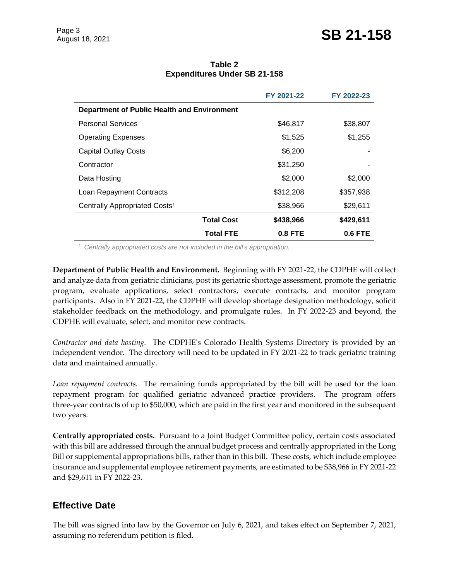|                                                    |                   | FY 2021-22     | FY 2022-23     |  |  |
|----------------------------------------------------|-------------------|----------------|----------------|--|--|
| <b>Department of Public Health and Environment</b> |                   |                |                |  |  |
| <b>Personal Services</b>                           |                   | \$46,817       | \$38,807       |  |  |
| <b>Operating Expenses</b>                          |                   | \$1,525        | \$1,255        |  |  |
| <b>Capital Outlay Costs</b>                        |                   | \$6,200        |                |  |  |
| Contractor                                         |                   | \$31,250       |                |  |  |
| Data Hosting                                       |                   | \$2,000        | \$2,000        |  |  |
| Loan Repayment Contracts                           |                   | \$312,208      | \$357,938      |  |  |
| Centrally Appropriated Costs <sup>1</sup>          |                   | \$38,966       | \$29,611       |  |  |
|                                                    | <b>Total Cost</b> | \$438,966      | \$429,611      |  |  |
|                                                    | <b>Total FTE</b>  | <b>0.8 FTE</b> | <b>0.6 FTE</b> |  |  |

#### **Table 2 Expenditures Under SB 21-158**

<sup>1</sup> *Centrally appropriated costs are not included in the bill's appropriation.*

**Department of Public Health and Environment.** Beginning with FY 2021-22, the CDPHE will collect and analyze data from geriatric clinicians, post its geriatric shortage assessment, promote the geriatric program, evaluate applications, select contractors, execute contracts, and monitor program participants. Also in FY 2021-22, the CDPHE will develop shortage designation methodology, solicit stakeholder feedback on the methodology, and promulgate rules. In FY 2022-23 and beyond, the CDPHE will evaluate, select, and monitor new contracts.

*Contractor and data hosting.* The CDPHE's Colorado Health Systems Directory is provided by an independent vendor. The directory will need to be updated in FY 2021-22 to track geriatric training data and maintained annually.

*Loan repayment contracts.* The remaining funds appropriated by the bill will be used for the loan repayment program for qualified geriatric advanced practice providers. The program offers three-year contracts of up to \$50,000, which are paid in the first year and monitored in the subsequent two years.

**Centrally appropriated costs.** Pursuant to a Joint Budget Committee policy, certain costs associated with this bill are addressed through the annual budget process and centrally appropriated in the Long Bill or supplemental appropriations bills, rather than in this bill. These costs, which include employee insurance and supplemental employee retirement payments, are estimated to be \$38,966 in FY 2021-22 and \$29,611 in FY 2022-23.

#### **Effective Date**

The bill was signed into law by the Governor on July 6, 2021, and takes effect on September 7, 2021, assuming no referendum petition is filed.